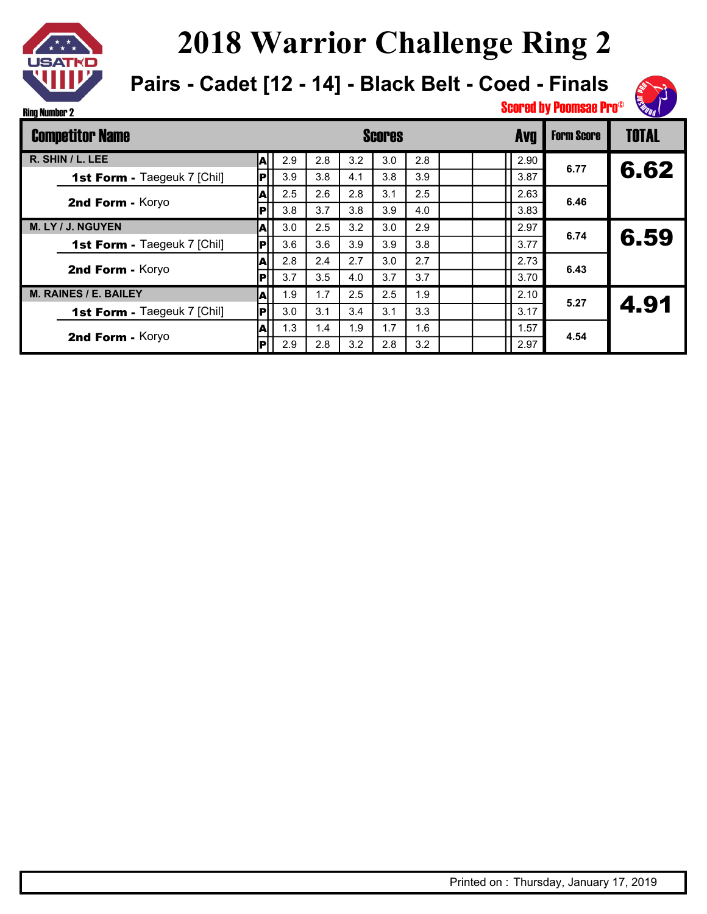

**Pairs - Cadet [12 - 14] - Black Belt - Coed - Finals**



| <b>Competitor Name</b>             |     |     | <b>Scores</b> |     |     |     |  |  | <b>Avg</b> | <b>Form Score</b> | <b>TOTAL</b> |
|------------------------------------|-----|-----|---------------|-----|-----|-----|--|--|------------|-------------------|--------------|
| R. SHIN / L. LEE                   | A   | 2.9 | 2.8           | 3.2 | 3.0 | 2.8 |  |  | 2.90       | 6.77              |              |
| <b>1st Form - Taegeuk 7 [Chil]</b> | P   | 3.9 | 3.8           | 4.1 | 3.8 | 3.9 |  |  | 3.87       |                   | 6.62         |
|                                    | A   | 2.5 | 2.6           | 2.8 | 3.1 | 2.5 |  |  | 2.63       | 6.46              |              |
| 2nd Form - Koryo                   | IРI | 3.8 | 3.7           | 3.8 | 3.9 | 4.0 |  |  | 3.83       |                   |              |
| M. LY / J. NGUYEN                  | IА  | 3.0 | 2.5           | 3.2 | 3.0 | 2.9 |  |  | 2.97       | 6.74              |              |
| <b>1st Form - Taegeuk 7 [Chil]</b> | P   | 3.6 | 3.6           | 3.9 | 3.9 | 3.8 |  |  | 3.77       |                   | 6.59         |
| 2nd Form - Koryo                   | A   | 2.8 | 2.4           | 2.7 | 3.0 | 2.7 |  |  | 2.73       | 6.43              |              |
|                                    | IРİ | 3.7 | 3.5           | 4.0 | 3.7 | 3.7 |  |  | 3.70       |                   |              |
| <b>M. RAINES / E. BAILEY</b>       | A   | 1.9 | 1.7           | 2.5 | 2.5 | 1.9 |  |  | 2.10       | 5.27              | 4.91         |
| 1st Form - Taegeuk 7 [Chil]        | P   | 3.0 | 3.1           | 3.4 | 3.1 | 3.3 |  |  | 3.17       |                   |              |
| 2nd Form - Koryo                   | IА  | 1.3 | 1.4           | 1.9 | 1.7 | 1.6 |  |  | 1.57       | 4.54              |              |
|                                    | IРI | 2.9 | 2.8           | 3.2 | 2.8 | 3.2 |  |  | 2.97       |                   |              |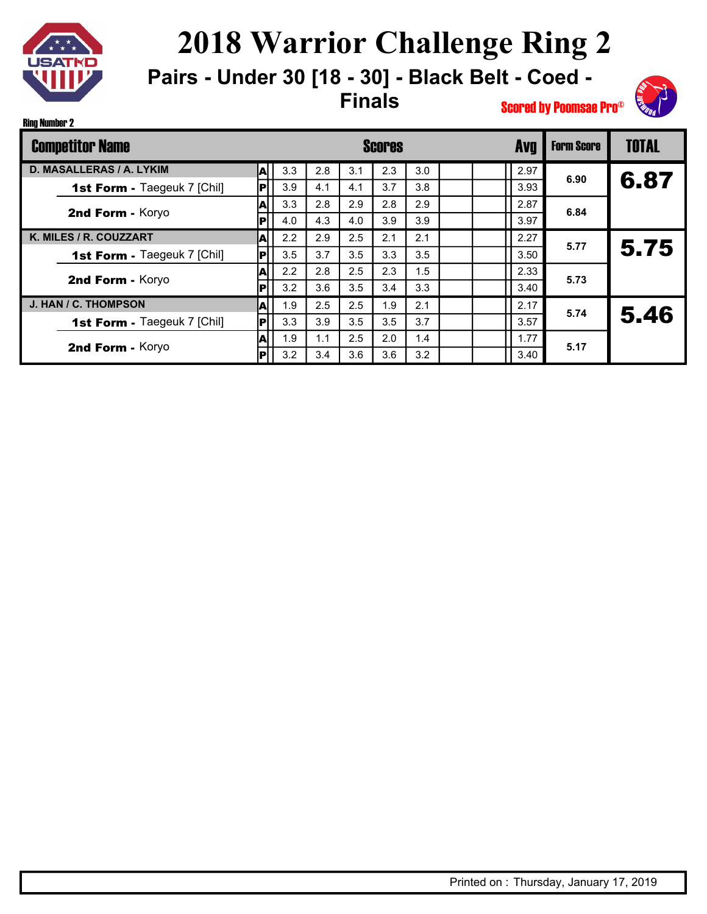

Ring Number 2

# **2018 Warrior Challenge Ring 2**

**Pairs - Under 30 [18 - 30] - Black Belt - Coed - Finals**



| <b>Competitor Name</b>             |             |     |     |     | <b>Scores</b> |     |  | <b>Avg</b> | <b>Form Score</b> | <b>TOTAL</b> |
|------------------------------------|-------------|-----|-----|-----|---------------|-----|--|------------|-------------------|--------------|
| D. MASALLERAS / A. LYKIM           | IA.         | 3.3 | 2.8 | 3.1 | 2.3           | 3.0 |  | 2.97       |                   |              |
| 1st Form - Taegeuk 7 [Chil]        | lPl         | 3.9 | 4.1 | 4.1 | 3.7           | 3.8 |  | 3.93       | 6.90              | 6.87         |
| 2nd Form - Koryo                   | lA.         | 3.3 | 2.8 | 2.9 | 2.8           | 2.9 |  | 2.87       | 6.84              |              |
|                                    | IРI         | 4.0 | 4.3 | 4.0 | 3.9           | 3.9 |  | 3.97       |                   |              |
| K. MILES / R. COUZZART             | A           | 2.2 | 2.9 | 2.5 | 2.1           | 2.1 |  | 2.27       | 5.77              |              |
| <b>1st Form - Taegeuk 7 [Chil]</b> | P           | 3.5 | 3.7 | 3.5 | 3.3           | 3.5 |  | 3.50       |                   | 5.75         |
| 2nd Form - Koryo                   | lА          | 2.2 | 2.8 | 2.5 | 2.3           | 1.5 |  | 2.33       | 5.73              |              |
|                                    | P           | 3.2 | 3.6 | 3.5 | 3.4           | 3.3 |  | 3.40       |                   |              |
| J. HAN / C. THOMPSON               | IA          | 1.9 | 2.5 | 2.5 | 1.9           | 2.1 |  | 2.17       | 5.74              | 5.46         |
| 1st Form - Taegeuk 7 [Chil]        | IPI         | 3.3 | 3.9 | 3.5 | 3.5           | 3.7 |  | 3.57       |                   |              |
|                                    | lA.         | 1.9 | 1.1 | 2.5 | 2.0           | 1.4 |  | 1.77       | 5.17              |              |
| 2nd Form - Koryo                   | $ {\bf P} $ | 3.2 | 3.4 | 3.6 | 3.6           | 3.2 |  | 3.40       |                   |              |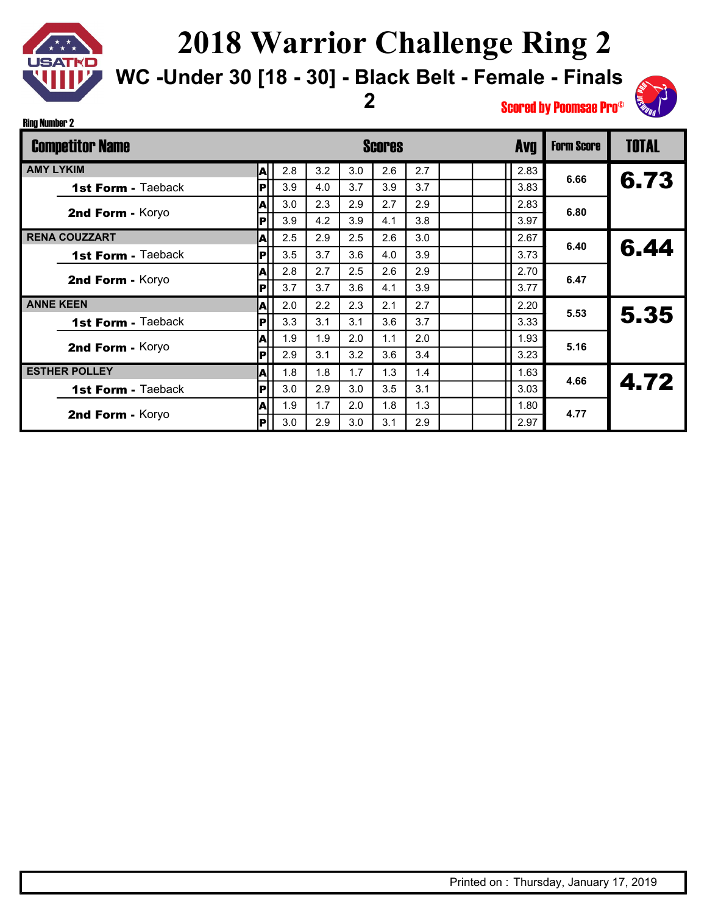

Ring Number 2

#### **2018 Warrior Challenge Ring 2**

**WC -Under 30 [18 - 30] - Black Belt - Female - Finals** 

**2**



| <b>Competitor Name</b>    | <b>Scores</b> |     |     |     |     |     |  |      |      | <b>TOTAL</b> |
|---------------------------|---------------|-----|-----|-----|-----|-----|--|------|------|--------------|
| <b>AMY LYKIM</b>          | A             | 2.8 | 3.2 | 3.0 | 2.6 | 2.7 |  | 2.83 | 6.66 |              |
| 1st Form - Taeback        | IРI           | 3.9 | 4.0 | 3.7 | 3.9 | 3.7 |  | 3.83 |      | 6.73         |
| 2nd Form - Koryo          | A             | 3.0 | 2.3 | 2.9 | 2.7 | 2.9 |  | 2.83 | 6.80 |              |
|                           | P             | 3.9 | 4.2 | 3.9 | 4.1 | 3.8 |  | 3.97 |      |              |
| <b>RENA COUZZART</b>      | A             | 2.5 | 2.9 | 2.5 | 2.6 | 3.0 |  | 2.67 | 6.40 | 6.44         |
| 1st Form - Taeback        | P             | 3.5 | 3.7 | 3.6 | 4.0 | 3.9 |  | 3.73 |      |              |
| 2nd Form - Koryo          | A             | 2.8 | 2.7 | 2.5 | 2.6 | 2.9 |  | 2.70 | 6.47 |              |
|                           | IРI           | 3.7 | 3.7 | 3.6 | 4.1 | 3.9 |  | 3.77 |      |              |
| <b>ANNE KEEN</b>          | A             | 2.0 | 2.2 | 2.3 | 2.1 | 2.7 |  | 2.20 | 5.53 |              |
| <b>1st Form - Taeback</b> | IР            | 3.3 | 3.1 | 3.1 | 3.6 | 3.7 |  | 3.33 |      | 5.35         |
| 2nd Form - Koryo          | ΙA            | 1.9 | 1.9 | 2.0 | 1.1 | 2.0 |  | 1.93 | 5.16 |              |
|                           | P             | 2.9 | 3.1 | 3.2 | 3.6 | 3.4 |  | 3.23 |      |              |
| <b>ESTHER POLLEY</b>      | A             | 1.8 | 1.8 | 1.7 | 1.3 | 1.4 |  | 1.63 | 4.66 | 4.72         |
| 1st Form - Taeback        | P             | 3.0 | 2.9 | 3.0 | 3.5 | 3.1 |  | 3.03 |      |              |
| 2nd Form - Koryo          | A             | 1.9 | 1.7 | 2.0 | 1.8 | 1.3 |  | 1.80 | 4.77 |              |
|                           | IPI           | 3.0 | 2.9 | 3.0 | 3.1 | 2.9 |  | 2.97 |      |              |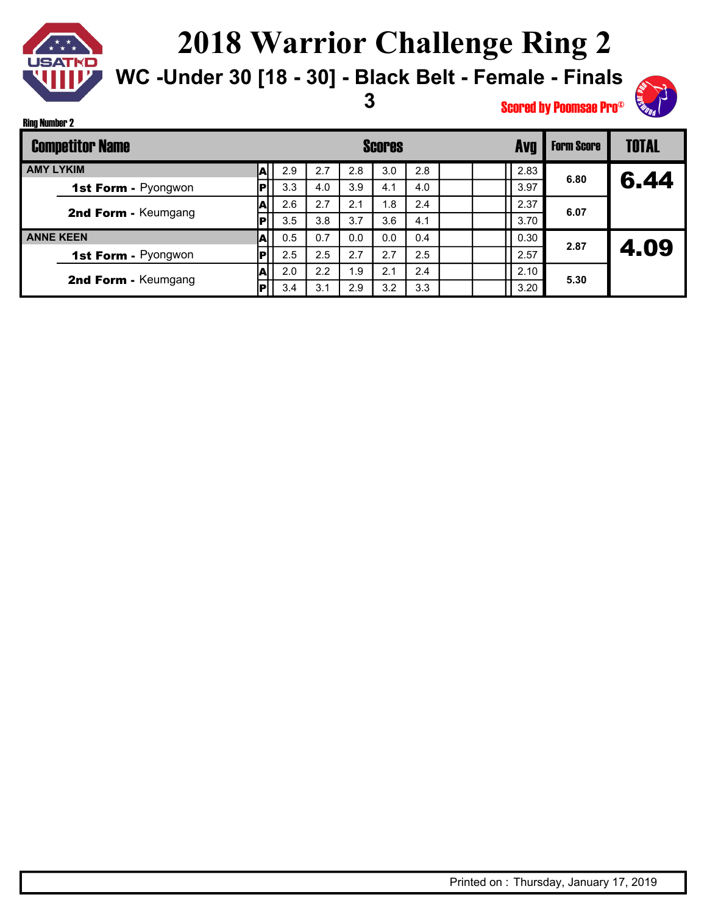

Ring Number 2

### **2018 Warrior Challenge Ring 2**

**WC -Under 30 [18 - 30] - Black Belt - Female - Finals** 

**3**



| <b>Competitor Name</b> |                            |     |     |     |     | <b>Scores</b> |     |      | <b>Form Score</b> | <b>TOTAL</b> |      |
|------------------------|----------------------------|-----|-----|-----|-----|---------------|-----|------|-------------------|--------------|------|
| <b>AMY LYKIM</b>       |                            |     | 2.9 | 2.7 | 2.8 | 3.0           | 2.8 |      | 2.83              | 6.80         |      |
|                        | <b>1st Form - Pyongwon</b> |     | 3.3 | 4.0 | 3.9 | 4.1           | 4.0 |      | 3.97              |              | 6.44 |
|                        | 2nd Form - Keumgang        |     | 2.6 | 2.7 | 2.1 | 1.8           | 2.4 |      | 2.37              | 6.07         |      |
|                        |                            | D   | 3.5 | 3.8 | 3.7 | 3.6           | 4.1 |      | 3.70              |              |      |
| <b>ANNE KEEN</b>       |                            |     | 0.5 | 0.7 | 0.0 | 0.0           | 0.4 |      | 0.30              | 2.87         |      |
|                        | <b>1st Form - Pyongwon</b> |     | 2.5 | 2.5 | 2.7 | 2.7           | 2.5 |      | 2.57              |              | 4.09 |
|                        |                            |     | 2.0 | 2.2 | 1.9 | 2.1           | 2.4 |      | 2.10              | 5.30         |      |
| 2nd Form - Keumgang    |                            | 3.4 | 3.1 | 2.9 | 3.2 | 3.3           |     | 3.20 |                   |              |      |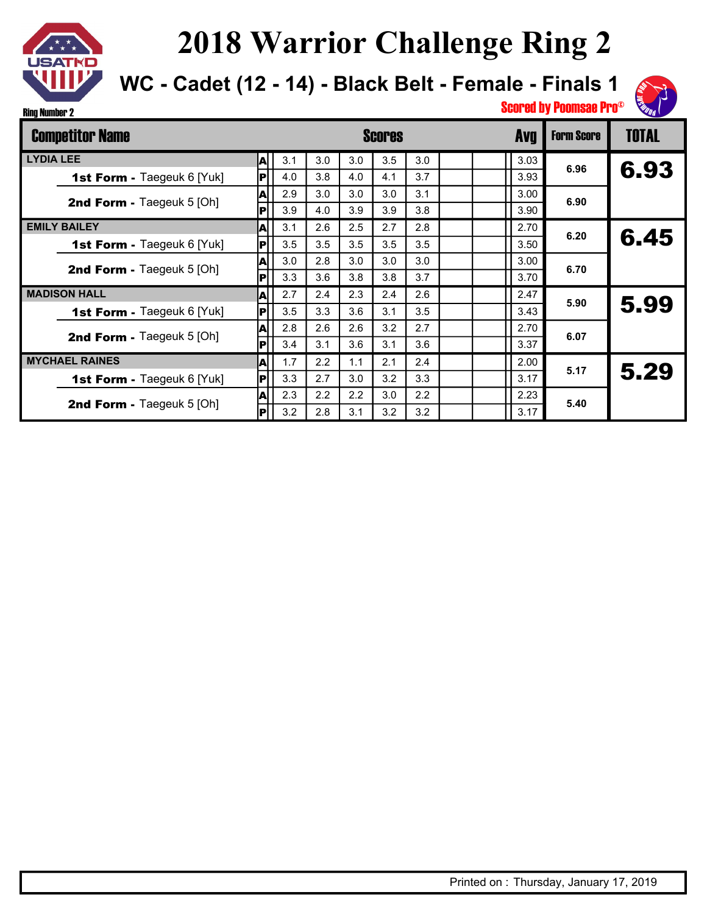

**WC - Cadet (12 - 14) - Black Belt - Female - Finals 1**



| <b>Competitor Name</b>            |     |     |     | <b>Scores</b> |     | <b>Avq</b> | <b>Form Score</b> | <b>TOTAL</b> |      |      |
|-----------------------------------|-----|-----|-----|---------------|-----|------------|-------------------|--------------|------|------|
| <b>LYDIA LEE</b>                  | A   | 3.1 | 3.0 | 3.0           | 3.5 | 3.0        |                   | 3.03         | 6.96 |      |
| 1st Form - Taegeuk 6 [Yuk]        | IР  | 4.0 | 3.8 | 4.0           | 4.1 | 3.7        |                   | 3.93         |      | 6.93 |
| 2nd Form - Taegeuk 5 [Oh]         | A   | 2.9 | 3.0 | 3.0           | 3.0 | 3.1        |                   | 3.00         | 6.90 |      |
|                                   | P   | 3.9 | 4.0 | 3.9           | 3.9 | 3.8        |                   | 3.90         |      |      |
| <b>EMILY BAILEY</b>               | A   | 3.1 | 2.6 | 2.5           | 2.7 | 2.8        |                   | 2.70         | 6.20 | 6.45 |
| <b>1st Form - Taegeuk 6 [Yuk]</b> | P   | 3.5 | 3.5 | 3.5           | 3.5 | 3.5        |                   | 3.50         |      |      |
| <b>2nd Form - Taegeuk 5 [Oh]</b>  | A   | 3.0 | 2.8 | 3.0           | 3.0 | 3.0        |                   | 3.00         | 6.70 |      |
|                                   | P   | 3.3 | 3.6 | 3.8           | 3.8 | 3.7        |                   | 3.70         |      |      |
| <b>MADISON HALL</b>               | ΙA  | 2.7 | 2.4 | 2.3           | 2.4 | 2.6        |                   | 2.47         | 5.90 | 5.99 |
| <b>1st Form - Taegeuk 6 [Yuk]</b> | P   | 3.5 | 3.3 | 3.6           | 3.1 | 3.5        |                   | 3.43         |      |      |
| <b>2nd Form - Taegeuk 5 [Oh]</b>  | A   | 2.8 | 2.6 | 2.6           | 3.2 | 2.7        |                   | 2.70         | 6.07 |      |
|                                   | P   | 3.4 | 3.1 | 3.6           | 3.1 | 3.6        |                   | 3.37         |      |      |
| <b>MYCHAEL RAINES</b>             | A   | 1.7 | 2.2 | 1.1           | 2.1 | 2.4        |                   | 2.00         | 5.17 | 5.29 |
| <b>1st Form - Taegeuk 6 [Yuk]</b> | lPl | 3.3 | 2.7 | 3.0           | 3.2 | 3.3        |                   | 3.17         |      |      |
| <b>2nd Form - Taegeuk 5 [Oh]</b>  | A   | 2.3 | 2.2 | 2.2           | 3.0 | 2.2        |                   | 2.23         | 5.40 |      |
|                                   | P   | 3.2 | 2.8 | 3.1           | 3.2 | 3.2        |                   | 3.17         |      |      |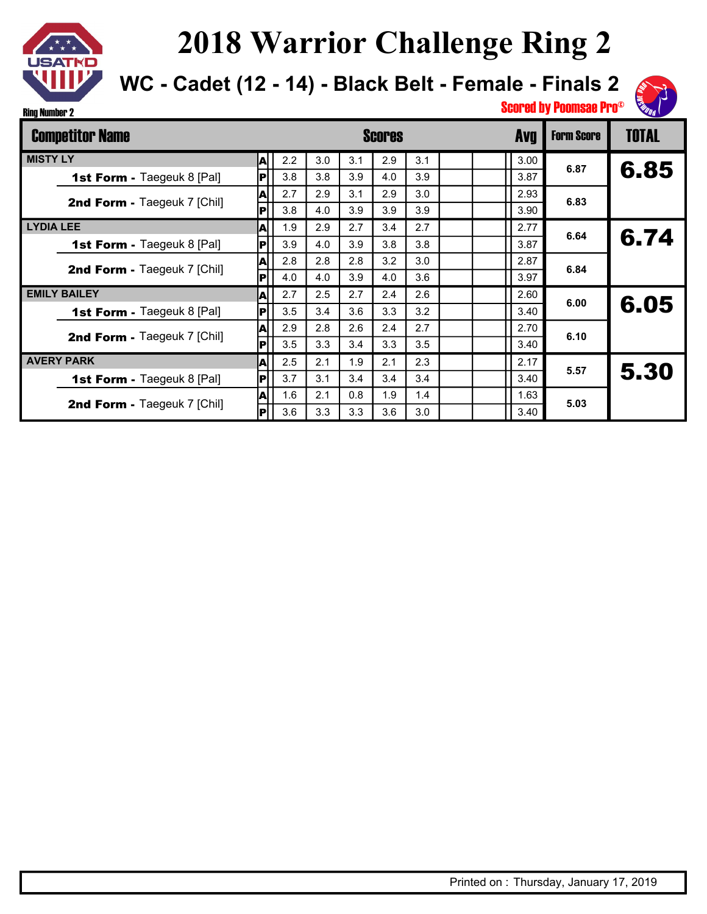

**WC - Cadet (12 - 14) - Black Belt - Female - Finals 2**



| <b>Competitor Name</b>             |     |     |     | <b>Scores</b> | <b>Form Score</b> | <b>TOTAL</b> |  |      |      |      |
|------------------------------------|-----|-----|-----|---------------|-------------------|--------------|--|------|------|------|
| <b>MISTY LY</b>                    | A   | 2.2 | 3.0 | 3.1           | 2.9               | 3.1          |  | 3.00 | 6.87 |      |
| <b>1st Form - Taegeuk 8 [Pal]</b>  | IР  | 3.8 | 3.8 | 3.9           | 4.0               | 3.9          |  | 3.87 |      | 6.85 |
| 2nd Form - Taegeuk 7 [Chil]        | A   | 2.7 | 2.9 | 3.1           | 2.9               | 3.0          |  | 2.93 | 6.83 |      |
|                                    | P   | 3.8 | 4.0 | 3.9           | 3.9               | 3.9          |  | 3.90 |      |      |
| <b>LYDIA LEE</b>                   | A   | 1.9 | 2.9 | 2.7           | 3.4               | 2.7          |  | 2.77 | 6.64 |      |
| <b>1st Form - Taegeuk 8 [Pal]</b>  | P   | 3.9 | 4.0 | 3.9           | 3.8               | 3.8          |  | 3.87 |      | 6.74 |
| 2nd Form - Taegeuk 7 [Chil]        | A   | 2.8 | 2.8 | 2.8           | 3.2               | 3.0          |  | 2.87 | 6.84 |      |
|                                    | P   | 4.0 | 4.0 | 3.9           | 4.0               | 3.6          |  | 3.97 |      |      |
| <b>EMILY BAILEY</b>                | A   | 2.7 | 2.5 | 2.7           | 2.4               | 2.6          |  | 2.60 | 6.00 | 6.05 |
| <b>1st Form - Taegeuk 8 [Pal]</b>  | IР  | 3.5 | 3.4 | 3.6           | 3.3               | 3.2          |  | 3.40 |      |      |
| 2nd Form - Taegeuk 7 [Chil]        | A   | 2.9 | 2.8 | 2.6           | 2.4               | 2.7          |  | 2.70 | 6.10 |      |
|                                    | P   | 3.5 | 3.3 | 3.4           | 3.3               | 3.5          |  | 3.40 |      |      |
| <b>AVERY PARK</b>                  | A   | 2.5 | 2.1 | 1.9           | 2.1               | 2.3          |  | 2.17 | 5.57 | 5.30 |
| <b>1st Form - Taegeuk 8 [Pal]</b>  | lPl | 3.7 | 3.1 | 3.4           | 3.4               | 3.4          |  | 3.40 |      |      |
| <b>2nd Form - Taegeuk 7 [Chil]</b> | A   | 1.6 | 2.1 | 0.8           | 1.9               | 1.4          |  | 1.63 | 5.03 |      |
|                                    | P   | 3.6 | 3.3 | 3.3           | 3.6               | 3.0          |  | 3.40 |      |      |